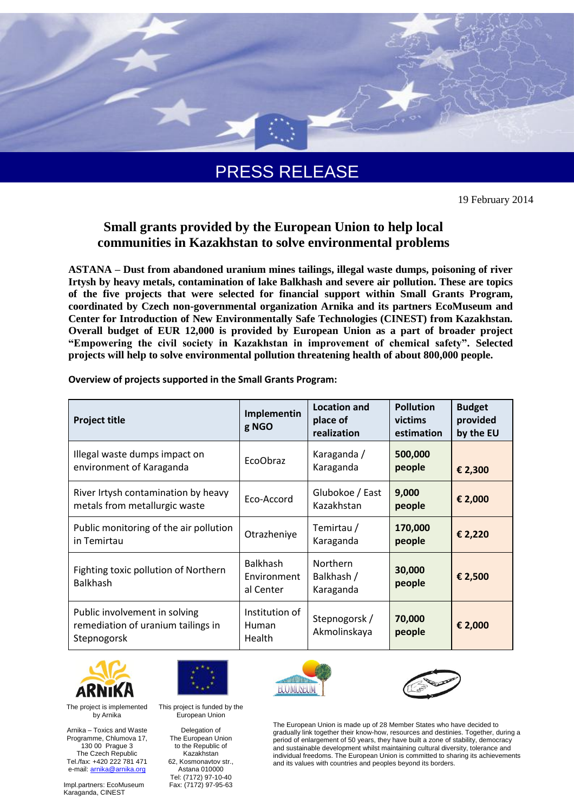

PRESS RELEASE

19 February 2014

# **Small grants provided by the European Union to help local communities in Kazakhstan to solve environmental problems**

**ASTANA – Dust from abandoned uranium mines tailings, illegal waste dumps, poisoning of river Irtysh by heavy metals, contamination of lake Balkhash and severe air pollution. These are topics of the five projects that were selected for financial support within Small Grants Program, coordinated by Czech non-governmental organization Arnika and its partners EcoMuseum and Center for Introduction of New Environmentally Safe Technologies (CINEST) from Kazakhstan. Overall budget of EUR 12,000 is provided by European Union as a part of broader project "Empowering the civil society in Kazakhstan in improvement of chemical safety". Selected projects will help to solve environmental pollution threatening health of about 800,000 people.**

|  | Overview of projects supported in the Small Grants Program: |  |  |
|--|-------------------------------------------------------------|--|--|
|--|-------------------------------------------------------------|--|--|

| <b>Project title</b>                                                               | Implementin<br>g NGO                            | <b>Location and</b><br>place of<br>realization | <b>Pollution</b><br>victims<br>estimation | <b>Budget</b><br>provided<br>by the EU |
|------------------------------------------------------------------------------------|-------------------------------------------------|------------------------------------------------|-------------------------------------------|----------------------------------------|
| Illegal waste dumps impact on<br>environment of Karaganda                          | <b>EcoObraz</b>                                 | Karaganda /<br>Karaganda                       | 500,000<br>people                         | € 2,300                                |
| River Irtysh contamination by heavy<br>metals from metallurgic waste               | Eco-Accord                                      | Glubokoe / East<br>Kazakhstan                  | 9,000<br>people                           | € 2,000                                |
| Public monitoring of the air pollution<br>in Temirtau                              | Otrazheniye                                     | Temirtau /<br>Karaganda                        | 170,000<br>people                         | € 2,220                                |
| Fighting toxic pollution of Northern<br><b>Balkhash</b>                            | <b>Balkhash</b><br>Environment<br>al Center     | <b>Northern</b><br>Balkhash /<br>Karaganda     | 30,000<br>people                          | € 2,500                                |
| Public involvement in solving<br>remediation of uranium tailings in<br>Stepnogorsk | Institution of<br><b>Human</b><br><b>Health</b> | Stepnogorsk/<br>Akmolinskaya                   | 70,000<br>people                          | € 2,000                                |





This project is funded by the European Union





The European Union is made up of 28 Member States who have decided to gradually link together their know-how, resources and destinies. Together, during a period of enlargement of 50 years, they have built a zone of stability, democracy and sustainable development whilst maintaining cultural diversity, tolerance and individual freedoms. The European Union is committed to sharing its achievements and its values with countries and peoples beyond its borders.

The project is implemented by Arnika

Arnika – Toxics and Waste Programme, Chlumova 17, 130 00 Prague 3 The Czech Republic Tel./fax: +420 222 781 471 e-mail: [arnika@arnika.org](mailto:arnika@arnika.org)

Impl.partners: EcoMuseum Karaganda, CINEST

Delegation of The European Union to the Republic of

Kazakhstan 62, Kosmonavtov str., Astana 010000 Tel: (7172) 97-10-40 Fax: (7172) 97-95-63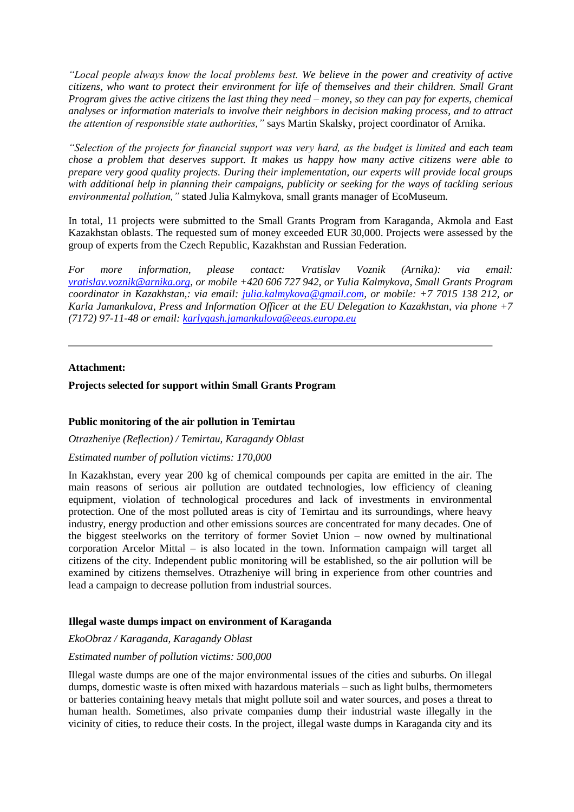*"Local people always know the local problems best. We believe in the power and creativity of active citizens, who want to protect their environment for life of themselves and their children. Small Grant Program gives the active citizens the last thing they need – money, so they can pay for experts, chemical analyses or information materials to involve their neighbors in decision making process, and to attract the attention of responsible state authorities,"* says Martin Skalsky, project coordinator of Arnika.

*"Selection of the projects for financial support was very hard, as the budget is limited and each team chose a problem that deserves support. It makes us happy how many active citizens were able to prepare very good quality projects. During their implementation, our experts will provide local groups with additional help in planning their campaigns, publicity or seeking for the ways of tackling serious environmental pollution,"* stated Julia Kalmykova, small grants manager of EcoMuseum.

In total, 11 projects were submitted to the Small Grants Program from Karaganda, Akmola and East Kazakhstan oblasts. The requested sum of money exceeded EUR 30,000. Projects were assessed by the group of experts from the Czech Republic, Kazakhstan and Russian Federation.

*For more information, please contact: Vratislav Voznik (Arnika): via email: [vratislav.voznik@arnika.org,](mailto:vratislav.voznik@arnika.org) or mobile +420 606 727 942, or Yulia Kalmykova, Small Grants Program coordinator in Kazakhstan,: via email: [julia.kalmykova@gmail.com,](mailto:julia.kalmykova@gmail.com) or mobile: +7 7015 138 212, or Karla Jamankulova, Press and Information Officer at the EU Delegation to Kazakhstan, via phone +7 (7172) 97-11-48 or email: [karlygash.jamankulova@eeas.europa.eu](mailto:karlygash.jamankulova@eeas.europa.eu)*

### **Attachment:**

### **Projects selected for support within Small Grants Program**

#### **Public monitoring of the air pollution in Temirtau**

*Otrazheniye (Reflection) / Temirtau, Karagandy Oblast*

#### *Estimated number of pollution victims: 170,000*

In Kazakhstan, every year 200 kg of chemical compounds per capita are emitted in the air. The main reasons of serious air pollution are outdated technologies, low efficiency of cleaning equipment, violation of technological procedures and lack of investments in environmental protection. One of the most polluted areas is city of Temirtau and its surroundings, where heavy industry, energy production and other emissions sources are concentrated for many decades. One of the biggest steelworks on the territory of former Soviet Union – now owned by multinational corporation Arcelor Mittal – is also located in the town. Information campaign will target all citizens of the city. Independent public monitoring will be established, so the air pollution will be examined by citizens themselves. Otrazheniye will bring in experience from other countries and lead a campaign to decrease pollution from industrial sources.

#### **Illegal waste dumps impact on environment of Karaganda**

## *EkoObraz / Karaganda, Karagandy Oblast*

#### *Estimated number of pollution victims: 500,000*

Illegal waste dumps are one of the major environmental issues of the cities and suburbs. On illegal dumps, domestic waste is often mixed with hazardous materials – such as light bulbs, thermometers or batteries containing heavy metals that might pollute soil and water sources, and poses a threat to human health. Sometimes, also private companies dump their industrial waste illegally in the vicinity of cities, to reduce their costs. In the project, illegal waste dumps in Karaganda city and its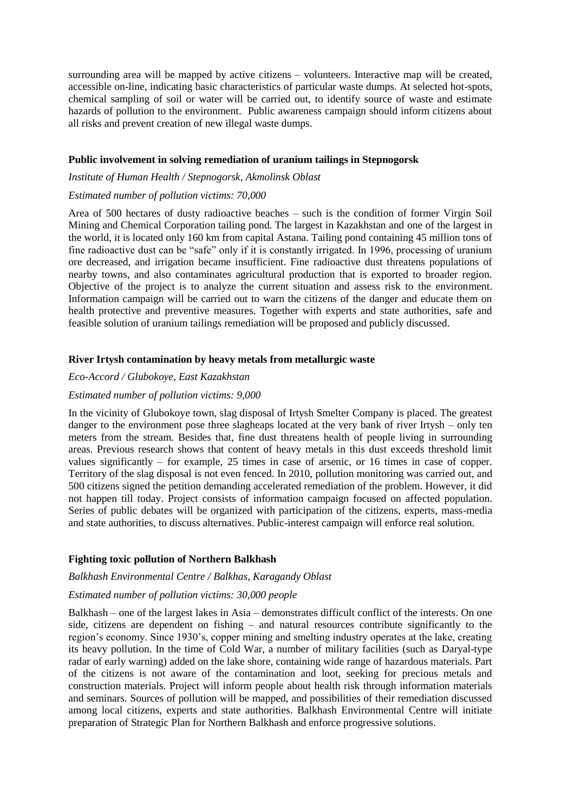surrounding area will be mapped by active citizens – volunteers. Interactive map will be created, accessible on-line, indicating basic characteristics of particular waste dumps. At selected hot-spots, chemical sampling of soil or water will be carried out, to identify source of waste and estimate hazards of pollution to the environment. Public awareness campaign should inform citizens about all risks and prevent creation of new illegal waste dumps.

### **Public involvement in solving remediation of uranium tailings in Stepnogorsk**

## *Institute of Human Health / Stepnogorsk, Akmolinsk Oblast*

### *Estimated number of pollution victims: 70,000*

Area of 500 hectares of dusty radioactive beaches – such is the condition of former Virgin Soil Mining and Chemical Corporation tailing pond. The largest in Kazakhstan and one of the largest in the world, it is located only 160 km from capital Astana. Tailing pond containing 45 million tons of fine radioactive dust can be "safe" only if it is constantly irrigated. In 1996, processing of uranium ore decreased, and irrigation became insufficient. Fine radioactive dust threatens populations of nearby towns, and also contaminates agricultural production that is exported to broader region. Objective of the project is to analyze the current situation and assess risk to the environment. Information campaign will be carried out to warn the citizens of the danger and educate them on health protective and preventive measures. Together with experts and state authorities, safe and feasible solution of uranium tailings remediation will be proposed and publicly discussed.

### **River Irtysh contamination by heavy metals from metallurgic waste**

## *Eco-Accord / Glubokoye, East Kazakhstan*

### *Estimated number of pollution victims: 9,000*

In the vicinity of Glubokoye town, slag disposal of Irtysh Smelter Company is placed. The greatest danger to the environment pose three slagheaps located at the very bank of river Irtysh – only ten meters from the stream. Besides that, fine dust threatens health of people living in surrounding areas. Previous research shows that content of heavy metals in this dust exceeds threshold limit values significantly – for example, 25 times in case of arsenic, or 16 times in case of copper. Territory of the slag disposal is not even fenced. In 2010, pollution monitoring was carried out, and 500 citizens signed the petition demanding accelerated remediation of the problem. However, it did not happen till today. Project consists of information campaign focused on affected population. Series of public debates will be organized with participation of the citizens, experts, mass-media and state authorities, to discuss alternatives. Public-interest campaign will enforce real solution.

#### **Fighting toxic pollution of Northern Balkhash**

### *Balkhash Environmental Centre / Balkhas, Karagandy Oblast*

## *Estimated number of pollution victims: 30,000 people*

Balkhash – one of the largest lakes in Asia – demonstrates difficult conflict of the interests. On one side, citizens are dependent on fishing – and natural resources contribute significantly to the region's economy. Since 1930's, copper mining and smelting industry operates at the lake, creating its heavy pollution. In the time of Cold War, a number of military facilities (such as Daryal-type radar of early warning) added on the lake shore, containing wide range of hazardous materials. Part of the citizens is not aware of the contamination and loot, seeking for precious metals and construction materials. Project will inform people about health risk through information materials and seminars. Sources of pollution will be mapped, and possibilities of their remediation discussed among local citizens, experts and state authorities. Balkhash Environmental Centre will initiate preparation of Strategic Plan for Northern Balkhash and enforce progressive solutions.